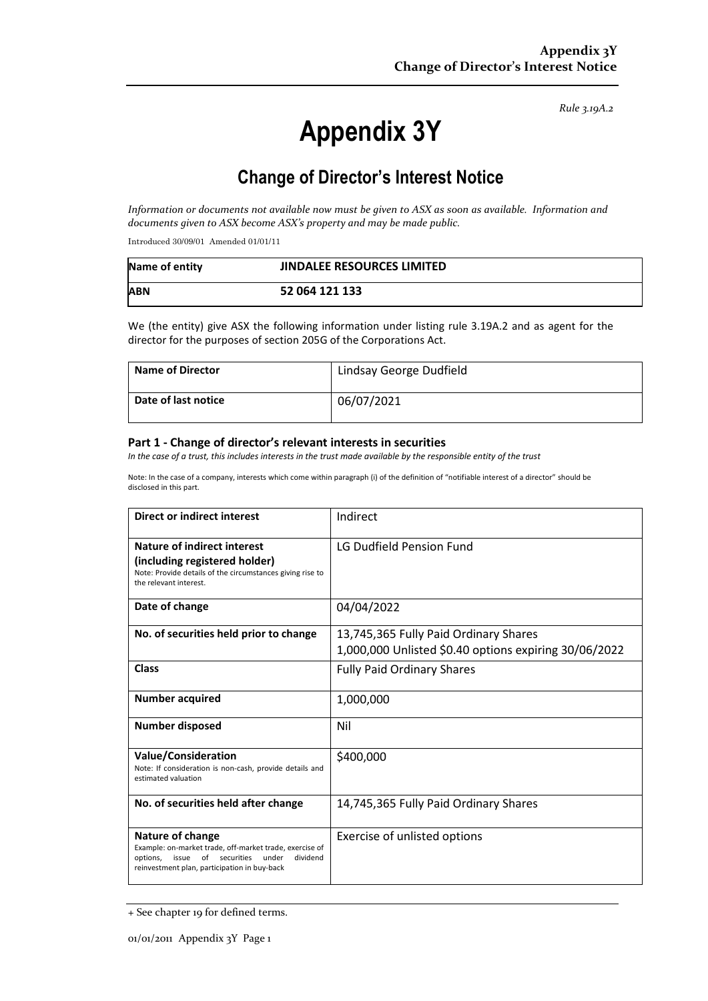*Rule 3.19A.2*

# **Appendix 3Y**

## **Change of Director's Interest Notice**

*Information or documents not available now must be given to ASX as soon as available. Information and documents given to ASX become ASX's property and may be made public.* 

Introduced 30/09/01 Amended 01/01/11

| Name of entity | <b>JINDALEE RESOURCES LIMITED</b> |
|----------------|-----------------------------------|
| <b>ABN</b>     | 52 064 121 133                    |

We (the entity) give ASX the following information under listing rule 3.19A.2 and as agent for the director for the purposes of section 205G of the Corporations Act.

| <b>Name of Director</b> | Lindsay George Dudfield |
|-------------------------|-------------------------|
| Date of last notice     | 06/07/2021              |

#### **Part 1 - Change of director's relevant interests in securities**

*In the case of a trust, this includes interests in the trust made available by the responsible entity of the trust* 

Note: In the case of a company, interests which come within paragraph (i) of the definition of "notifiable interest of a director" should be disclosed in this part.

| <b>Direct or indirect interest</b>                                                                                                                                                        | Indirect                                                                                       |
|-------------------------------------------------------------------------------------------------------------------------------------------------------------------------------------------|------------------------------------------------------------------------------------------------|
| Nature of indirect interest<br>(including registered holder)<br>Note: Provide details of the circumstances giving rise to<br>the relevant interest.                                       | LG Dudfield Pension Fund                                                                       |
| Date of change                                                                                                                                                                            | 04/04/2022                                                                                     |
| No. of securities held prior to change                                                                                                                                                    | 13,745,365 Fully Paid Ordinary Shares<br>1,000,000 Unlisted \$0.40 options expiring 30/06/2022 |
| <b>Class</b>                                                                                                                                                                              | <b>Fully Paid Ordinary Shares</b>                                                              |
| <b>Number acquired</b>                                                                                                                                                                    | 1,000,000                                                                                      |
| <b>Number disposed</b>                                                                                                                                                                    | Nil                                                                                            |
| <b>Value/Consideration</b><br>Note: If consideration is non-cash, provide details and<br>estimated valuation                                                                              | \$400,000                                                                                      |
| No. of securities held after change                                                                                                                                                       | 14,745,365 Fully Paid Ordinary Shares                                                          |
| Nature of change<br>Example: on-market trade, off-market trade, exercise of<br>of<br>options,<br>issue<br>securities<br>under<br>dividend<br>reinvestment plan, participation in buy-back | Exercise of unlisted options                                                                   |

<sup>+</sup> See chapter 19 for defined terms.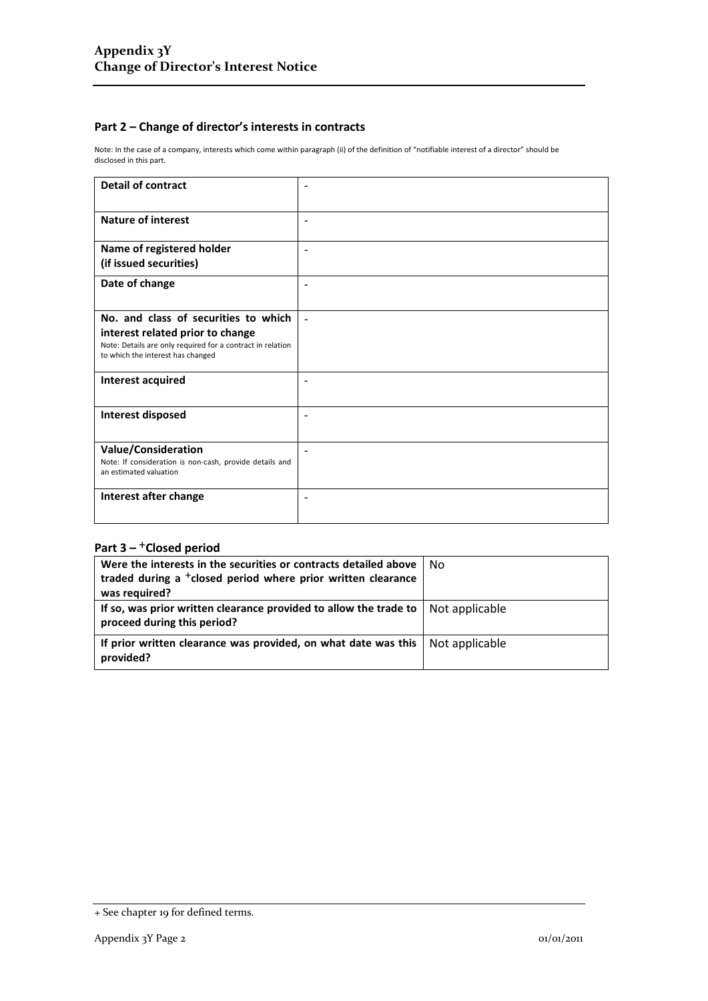#### **Part 2 – Change of director's interests in contracts**

Note: In the case of a company, interests which come within paragraph (ii) of the definition of "notifiable interest of a director" should be disclosed in this part.

| <b>Detail of contract</b>                                                                                                           |                          |
|-------------------------------------------------------------------------------------------------------------------------------------|--------------------------|
| <b>Nature of interest</b>                                                                                                           | $\overline{\phantom{0}}$ |
| Name of registered holder<br>(if issued securities)                                                                                 |                          |
| Date of change                                                                                                                      | $\overline{\phantom{0}}$ |
| No. and class of securities to which                                                                                                |                          |
| interest related prior to change<br>Note: Details are only required for a contract in relation<br>to which the interest has changed |                          |
| Interest acquired                                                                                                                   | $\overline{\phantom{0}}$ |
| Interest disposed                                                                                                                   |                          |
| <b>Value/Consideration</b><br>Note: If consideration is non-cash, provide details and<br>an estimated valuation                     |                          |
| Interest after change                                                                                                               |                          |

### Part 3 – <sup>+</sup>Closed period

| Were the interests in the securities or contracts detailed above                                 | No.            |
|--------------------------------------------------------------------------------------------------|----------------|
| traded during a <sup>+</sup> closed period where prior written clearance                         |                |
| was required?                                                                                    |                |
| If so, was prior written clearance provided to allow the trade to<br>proceed during this period? | Not applicable |
| If prior written clearance was provided, on what date was this<br>provided?                      | Not applicable |

<sup>+</sup> See chapter 19 for defined terms.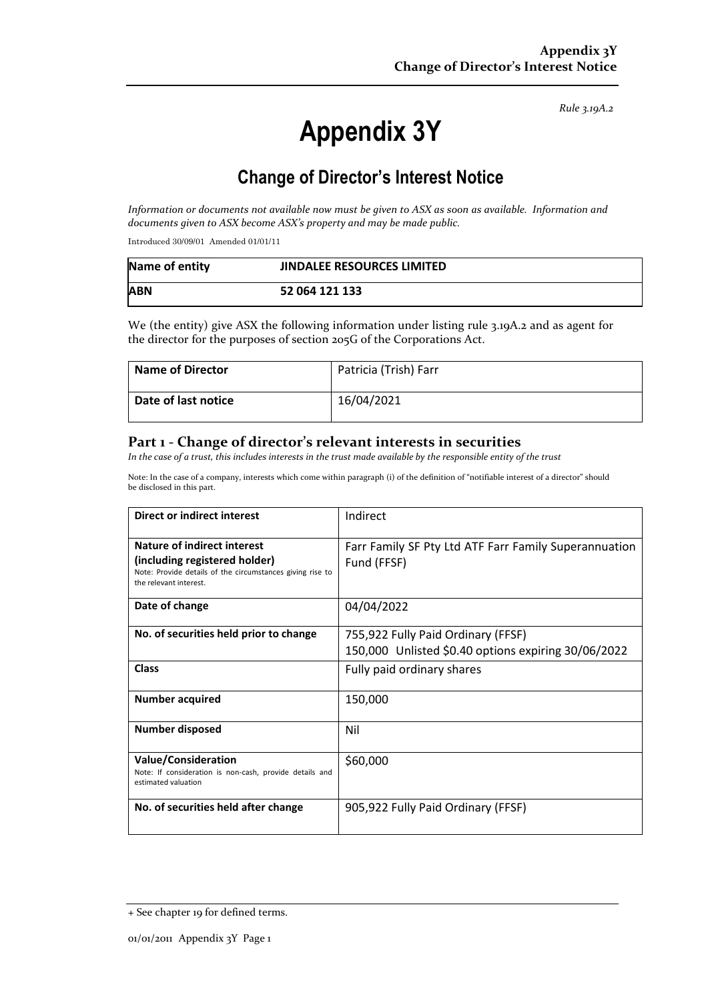*Rule 3.19A.2*

# **Appendix 3Y**

## **Change of Director's Interest Notice**

*Information or documents not available now must be given to ASX as soon as available. Information and documents given to ASX become ASX's property and may be made public.* 

Introduced 30/09/01 Amended 01/01/11

| Name of entity | <b>JINDALEE RESOURCES LIMITED</b> |
|----------------|-----------------------------------|
| <b>ABN</b>     | 52 064 121 133                    |

We (the entity) give ASX the following information under listing rule 3.19A.2 and as agent for the director for the purposes of section 205G of the Corporations Act.

| <b>Name of Director</b> | Patricia (Trish) Farr |
|-------------------------|-----------------------|
| Date of last notice     | 16/04/2021            |

### **Part 1 - Change of director's relevant interests in securities**

*In the case of a trust, this includes interests in the trust made available by the responsible entity of the trust* 

Note: In the case of a company, interests which come within paragraph (i) of the definition of "notifiable interest of a director" should be disclosed in this part.

| Direct or indirect interest                                                                                                                         | Indirect                                                                                  |
|-----------------------------------------------------------------------------------------------------------------------------------------------------|-------------------------------------------------------------------------------------------|
| Nature of indirect interest<br>(including registered holder)<br>Note: Provide details of the circumstances giving rise to<br>the relevant interest. | Farr Family SF Pty Ltd ATF Farr Family Superannuation<br>Fund (FFSF)                      |
| Date of change                                                                                                                                      | 04/04/2022                                                                                |
| No. of securities held prior to change                                                                                                              | 755,922 Fully Paid Ordinary (FFSF)<br>150,000 Unlisted \$0.40 options expiring 30/06/2022 |
| Class                                                                                                                                               | Fully paid ordinary shares                                                                |
| <b>Number acquired</b>                                                                                                                              | 150,000                                                                                   |
| Number disposed                                                                                                                                     | Nil                                                                                       |
| <b>Value/Consideration</b><br>Note: If consideration is non-cash, provide details and<br>estimated valuation                                        | \$60,000                                                                                  |
| No. of securities held after change                                                                                                                 | 905,922 Fully Paid Ordinary (FFSF)                                                        |

<sup>+</sup> See chapter 19 for defined terms.